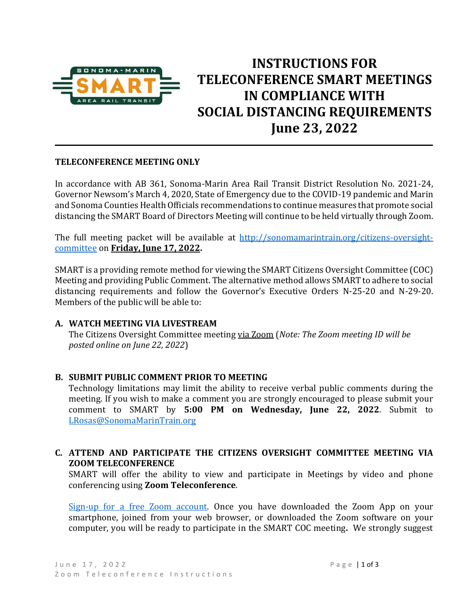

# **INSTRUCTIONS FOR TELECONFERENCE SMART MEETINGS IN COMPLIANCE WITH SOCIAL DISTANCING REQUIREMENTS June 23, 2022 \_\_\_\_\_\_ \_\_\_\_\_\_\_\_ \_\_\_\_\_\_**

#### **TELECONFERENCE MEETING ONLY**

In accordance with AB 361, Sonoma-Marin Area Rail Transit District Resolution No. 2021-24, Governor Newsom's March 4, 2020, State of Emergency due to the COVID-19 pandemic and Marin and Sonoma Counties Health Officials recommendations to continue measures that promote social distancing the SMART Board of Directors Meeting will continue to be held virtually through Zoom.

The full meeting packet will be available at [http://sonomamarintrain.org/citizens-oversight](http://sonomamarintrain.org/citizens-oversight-committee)[committee](http://sonomamarintrain.org/citizens-oversight-committee) on **Friday, June 17, 2022.**

SMART is a providing remote method for viewing the SMART Citizens Oversight Committee (COC) Meeting and providing Public Comment. The alternative method allowsSMART to adhere to social distancing requirements and follow the Governor's Executive Orders N-25-20 and N-29-20. Members of the public will be able to:

#### **A. WATCH MEETING VIA LIVESTREAM**

The Citizens Oversight Committee meeting via Zoom (*Note: The Zoom meeting ID will be posted online on June 22, 2022*)

### **B. SUBMIT PUBLIC COMMENT PRIOR TO MEETING**

Technology limitations may limit the ability to receive verbal public comments during the meeting. If you wish to make a comment you are strongly encouraged to please submit your comment to SMART by **5:00 PM on Wednesday, June 22, 2022**. Submit to [LRosas@SonomaMarinTrain.org](mailto:LRosas@SonomaMarinTrain.org)

### **C. ATTEND AND PARTICIPATE THE CITIZENS OVERSIGHT COMMITTEE MEETING VIA ZOOM TELECONFERENCE**

SMART will offer the ability to view and participate in Meetings by video and phone conferencing using **Zoom Teleconference**.

[Sign-up for a free Zoom account.](https://zoom.us/) Once you have downloaded the Zoom App on your smartphone, joined from your web browser, or downloaded the Zoom software on your computer, you will be ready to participate in the SMART COC meeting**.** We strongly suggest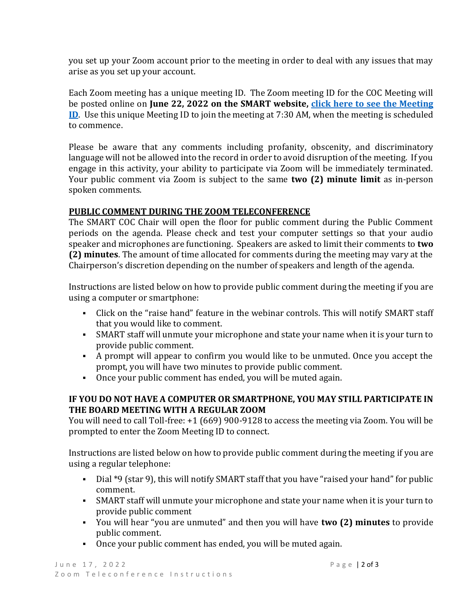you set up your Zoom account prior to the meeting in order to deal with any issues that may arise as you set up your account.

Each Zoom meeting has a unique meeting ID. The Zoom meeting ID for the COC Meeting will be posted online on **June 22, 2022 on the SMART website, [click here to see the Meeting](http://sonomamarintrain.org/citizens-oversight-committee)  [ID](http://sonomamarintrain.org/citizens-oversight-committee)**. Use this unique Meeting ID to join the meeting at 7:30 AM, when the meeting is scheduled to commence.

Please be aware that any comments including profanity, obscenity, and discriminatory language will not be allowed into the record in order to avoid disruption of the meeting. If you engage in this activity, your ability to participate via Zoom will be immediately terminated. Your public comment via Zoom is subject to the same **two (2) minute limit** as in-person spoken comments.

## **PUBLIC COMMENT DURING THE ZOOM TELECONFERENCE**

The SMART COC Chair will open the floor for public comment during the Public Comment periods on the agenda. Please check and test your computer settings so that your audio speaker and microphones are functioning. Speakers are asked to limit their comments to **two (2) minutes**. The amount of time allocated for comments during the meeting may vary at the Chairperson's discretion depending on the number of speakers and length of the agenda.

Instructions are listed below on how to provide public comment during the meeting if you are using a computer or smartphone:

- Click on the "raise hand" feature in the webinar controls. This will notify SMART staff that you would like to comment.
- **•** SMART staff will unmute your microphone and state your name when it is your turn to provide public comment.
- A prompt will appear to confirm you would like to be unmuted. Once you accept the prompt, you will have two minutes to provide public comment.
- Once your public comment has ended, you will be muted again.

## **IF YOU DO NOT HAVE A COMPUTER OR SMARTPHONE, YOU MAY STILL PARTICIPATE IN THE BOARD MEETING WITH A REGULAR ZOOM**

You will need to call Toll-free: +1 (669) 900-9128 to access the meeting via Zoom. You will be prompted to enter the Zoom Meeting ID to connect.

Instructions are listed below on how to provide public comment during the meeting if you are using a regular telephone:

- Dial \*9 (star 9), this will notify SMART staff that you have "raised your hand" for public comment.
- SMART staff will unmute your microphone and state your name when it is your turn to provide public comment
- You will hear "you are unmuted" and then you will have **two (2) minutes** to provide public comment.
- Once your public comment has ended, you will be muted again.